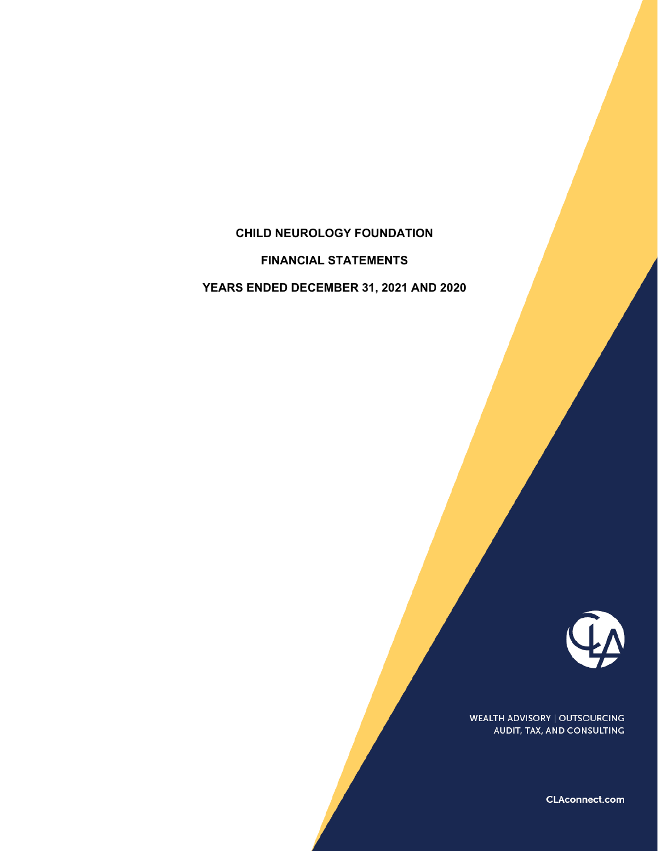# **CHILD NEUROLOGY FOUNDATION**

**FINANCIAL STATEMENTS** 

**YEARS ENDED DECEMBER 31, 2021 AND 2020** 



WEALTH ADVISORY | OUTSOURCING AUDIT, TAX, AND CONSULTING

CLAconnect.com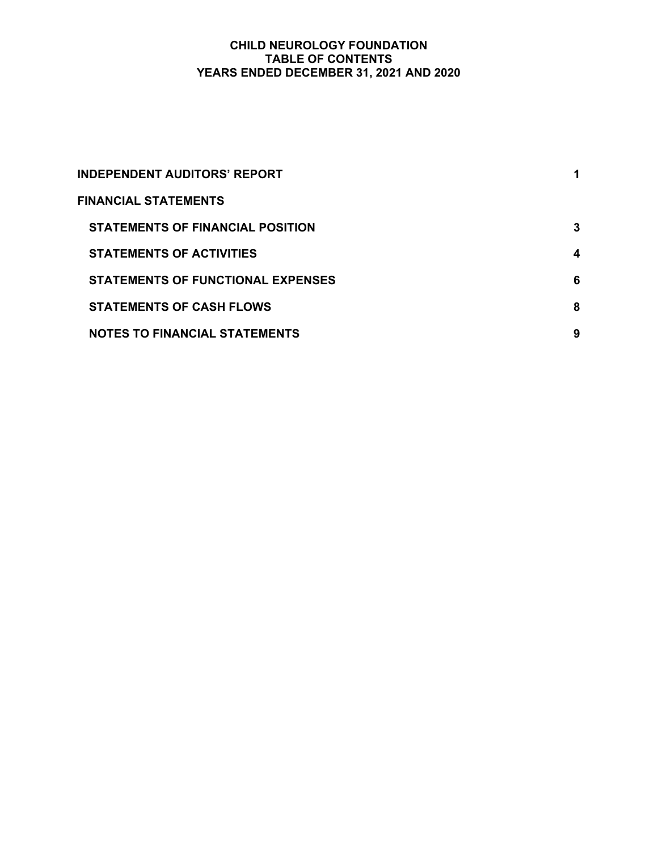### **CHILD NEUROLOGY FOUNDATION TABLE OF CONTENTS YEARS ENDED DECEMBER 31, 2021 AND 2020**

| <b>INDEPENDENT AUDITORS' REPORT</b>      |   |
|------------------------------------------|---|
| <b>FINANCIAL STATEMENTS</b>              |   |
| <b>STATEMENTS OF FINANCIAL POSITION</b>  | 3 |
| <b>STATEMENTS OF ACTIVITIES</b>          | 4 |
| <b>STATEMENTS OF FUNCTIONAL EXPENSES</b> | 6 |
| <b>STATEMENTS OF CASH FLOWS</b>          | 8 |
| <b>NOTES TO FINANCIAL STATEMENTS</b>     | 9 |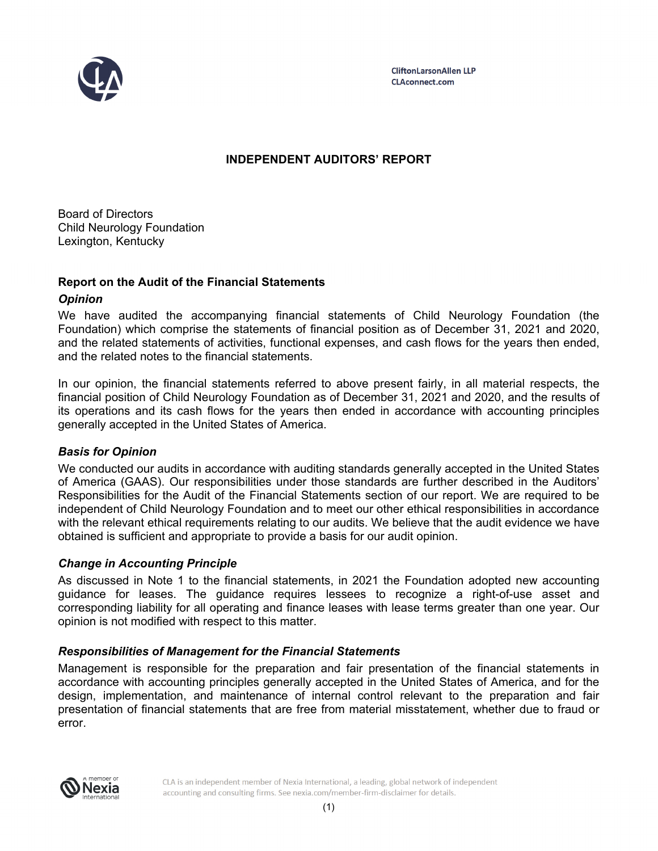

**CliftonLarsonAllen LLP CLAconnect.com** 

# **INDEPENDENT AUDITORS' REPORT**

Board of Directors Child Neurology Foundation Lexington, Kentucky

### **Report on the Audit of the Financial Statements**

### *Opinion*

We have audited the accompanying financial statements of Child Neurology Foundation (the Foundation) which comprise the statements of financial position as of December 31, 2021 and 2020, and the related statements of activities, functional expenses, and cash flows for the years then ended, and the related notes to the financial statements.

In our opinion, the financial statements referred to above present fairly, in all material respects, the financial position of Child Neurology Foundation as of December 31, 2021 and 2020, and the results of its operations and its cash flows for the years then ended in accordance with accounting principles generally accepted in the United States of America.

### *Basis for Opinion*

We conducted our audits in accordance with auditing standards generally accepted in the United States of America (GAAS). Our responsibilities under those standards are further described in the Auditors' Responsibilities for the Audit of the Financial Statements section of our report. We are required to be independent of Child Neurology Foundation and to meet our other ethical responsibilities in accordance with the relevant ethical requirements relating to our audits. We believe that the audit evidence we have obtained is sufficient and appropriate to provide a basis for our audit opinion.

### *Change in Accounting Principle*

As discussed in Note 1 to the financial statements, in 2021 the Foundation adopted new accounting guidance for leases. The guidance requires lessees to recognize a right-of-use asset and corresponding liability for all operating and finance leases with lease terms greater than one year. Our opinion is not modified with respect to this matter.

### *Responsibilities of Management for the Financial Statements*

Management is responsible for the preparation and fair presentation of the financial statements in accordance with accounting principles generally accepted in the United States of America, and for the design, implementation, and maintenance of internal control relevant to the preparation and fair presentation of financial statements that are free from material misstatement, whether due to fraud or error.



CLA is an independent member of Nexia International, a leading, global network of independent accounting and consulting firms. See nexia.com/member-firm-disclaimer for details.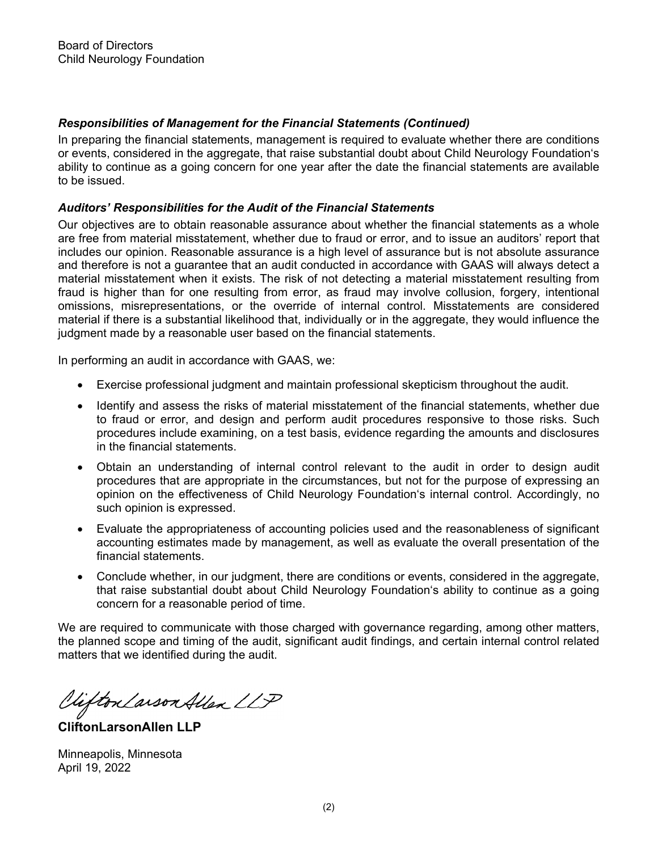# *Responsibilities of Management for the Financial Statements (Continued)*

In preparing the financial statements, management is required to evaluate whether there are conditions or events, considered in the aggregate, that raise substantial doubt about Child Neurology Foundation's ability to continue as a going concern for one year after the date the financial statements are available to be issued.

# *Auditors' Responsibilities for the Audit of the Financial Statements*

Our objectives are to obtain reasonable assurance about whether the financial statements as a whole are free from material misstatement, whether due to fraud or error, and to issue an auditors' report that includes our opinion. Reasonable assurance is a high level of assurance but is not absolute assurance and therefore is not a guarantee that an audit conducted in accordance with GAAS will always detect a material misstatement when it exists. The risk of not detecting a material misstatement resulting from fraud is higher than for one resulting from error, as fraud may involve collusion, forgery, intentional omissions, misrepresentations, or the override of internal control. Misstatements are considered material if there is a substantial likelihood that, individually or in the aggregate, they would influence the judgment made by a reasonable user based on the financial statements.

In performing an audit in accordance with GAAS, we:

- Exercise professional judgment and maintain professional skepticism throughout the audit.
- Identify and assess the risks of material misstatement of the financial statements, whether due to fraud or error, and design and perform audit procedures responsive to those risks. Such procedures include examining, on a test basis, evidence regarding the amounts and disclosures in the financial statements.
- Obtain an understanding of internal control relevant to the audit in order to design audit procedures that are appropriate in the circumstances, but not for the purpose of expressing an opinion on the effectiveness of Child Neurology Foundation's internal control. Accordingly, no such opinion is expressed.
- Evaluate the appropriateness of accounting policies used and the reasonableness of significant accounting estimates made by management, as well as evaluate the overall presentation of the financial statements.
- Conclude whether, in our judgment, there are conditions or events, considered in the aggregate, that raise substantial doubt about Child Neurology Foundation's ability to continue as a going concern for a reasonable period of time.

We are required to communicate with those charged with governance regarding, among other matters, the planned scope and timing of the audit, significant audit findings, and certain internal control related matters that we identified during the audit.

Viifton Larson Allen LLP

**CliftonLarsonAllen LLP** 

Minneapolis, Minnesota April 19, 2022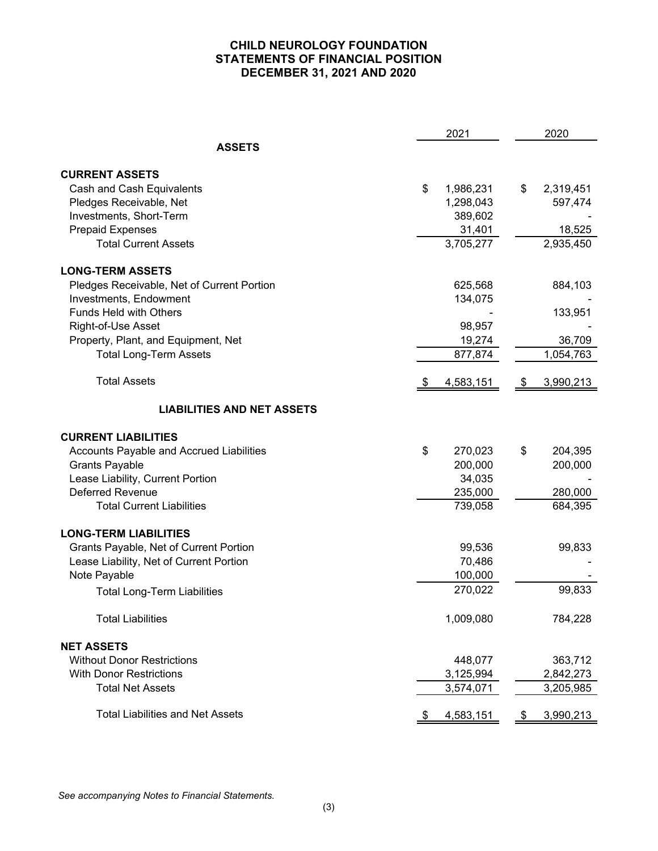### **CHILD NEUROLOGY FOUNDATION STATEMENTS OF FINANCIAL POSITION DECEMBER 31, 2021 AND 2020**

|                                            | 2021              | 2020              |
|--------------------------------------------|-------------------|-------------------|
| <b>ASSETS</b>                              |                   |                   |
| <b>CURRENT ASSETS</b>                      |                   |                   |
| Cash and Cash Equivalents                  | \$<br>1,986,231   | \$<br>2,319,451   |
| Pledges Receivable, Net                    | 1,298,043         | 597,474           |
| Investments, Short-Term                    | 389,602           |                   |
| <b>Prepaid Expenses</b>                    | 31,401            | 18,525            |
| <b>Total Current Assets</b>                | 3,705,277         | 2,935,450         |
| <b>LONG-TERM ASSETS</b>                    |                   |                   |
| Pledges Receivable, Net of Current Portion | 625,568           | 884,103           |
| Investments, Endowment                     | 134,075           |                   |
| Funds Held with Others                     |                   | 133,951           |
| Right-of-Use Asset                         | 98,957            |                   |
| Property, Plant, and Equipment, Net        | 19,274            | 36,709            |
| <b>Total Long-Term Assets</b>              | 877,874           | 1,054,763         |
| <b>Total Assets</b>                        | 4,583,151<br>- \$ | 3,990,213<br>- \$ |
| <b>LIABILITIES AND NET ASSETS</b>          |                   |                   |
| <b>CURRENT LIABILITIES</b>                 |                   |                   |
| Accounts Payable and Accrued Liabilities   | \$<br>270,023     | \$<br>204,395     |
| <b>Grants Payable</b>                      | 200,000           | 200,000           |
| Lease Liability, Current Portion           | 34,035            |                   |
| Deferred Revenue                           | 235,000           | 280,000           |
| <b>Total Current Liabilities</b>           | 739,058           | 684,395           |
| <b>LONG-TERM LIABILITIES</b>               |                   |                   |
| Grants Payable, Net of Current Portion     | 99,536            | 99,833            |
| Lease Liability, Net of Current Portion    | 70,486            |                   |
| Note Payable                               | 100,000           |                   |
| <b>Total Long-Term Liabilities</b>         | 270,022           | 99,833            |
| <b>Total Liabilities</b>                   | 1,009,080         | 784,228           |
| <b>NET ASSETS</b>                          |                   |                   |
| <b>Without Donor Restrictions</b>          | 448,077           | 363,712           |
| <b>With Donor Restrictions</b>             | 3,125,994         | 2,842,273         |
| <b>Total Net Assets</b>                    | 3,574,071         | 3,205,985         |
| <b>Total Liabilities and Net Assets</b>    | 4,583,151         | 3,990,213<br>\$   |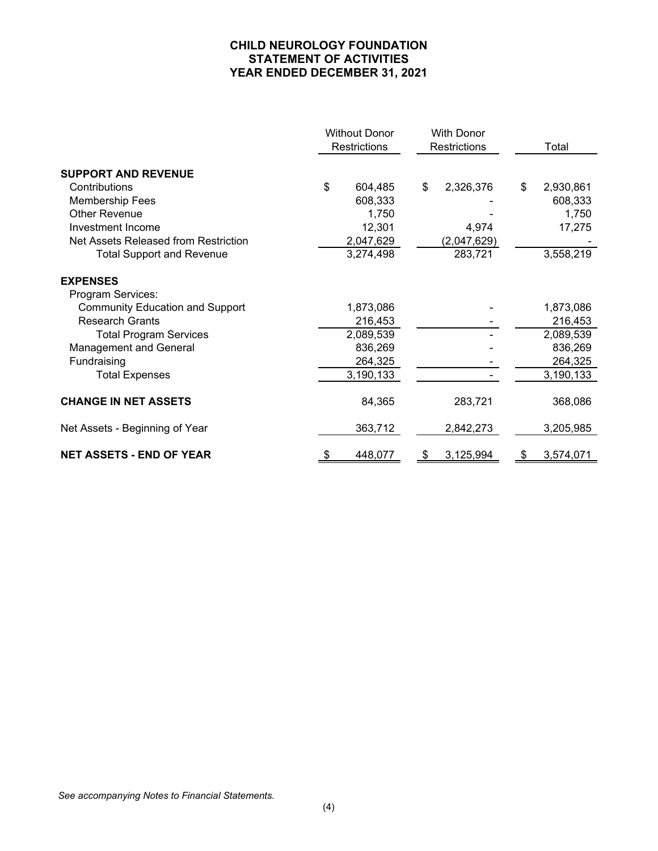### **CHILD NEUROLOGY FOUNDATION STATEMENT OF ACTIVITIES YEAR ENDED DECEMBER 31, 2021**

|                                        | <b>Without Donor</b><br>Restrictions |    | <b>With Donor</b><br>Restrictions |    | Total     |
|----------------------------------------|--------------------------------------|----|-----------------------------------|----|-----------|
| <b>SUPPORT AND REVENUE</b>             |                                      |    |                                   |    |           |
| Contributions                          | \$<br>604,485                        | \$ | 2,326,376                         | \$ | 2,930,861 |
| <b>Membership Fees</b>                 | 608,333                              |    |                                   |    | 608,333   |
| <b>Other Revenue</b>                   | 1,750                                |    |                                   |    | 1,750     |
| Investment Income                      | 12,301                               |    | 4,974                             |    | 17,275    |
| Net Assets Released from Restriction   | 2,047,629                            |    | (2,047,629)                       |    |           |
| <b>Total Support and Revenue</b>       | 3,274,498                            |    | 283,721                           |    | 3,558,219 |
| <b>EXPENSES</b>                        |                                      |    |                                   |    |           |
| Program Services:                      |                                      |    |                                   |    |           |
| <b>Community Education and Support</b> | 1,873,086                            |    |                                   |    | 1,873,086 |
| <b>Research Grants</b>                 | 216,453                              |    |                                   |    | 216,453   |
| <b>Total Program Services</b>          | 2,089,539                            |    |                                   |    | 2,089,539 |
| <b>Management and General</b>          | 836,269                              |    |                                   |    | 836,269   |
| Fundraising                            | 264,325                              |    |                                   |    | 264,325   |
| <b>Total Expenses</b>                  | 3,190,133                            |    |                                   |    | 3,190,133 |
| <b>CHANGE IN NET ASSETS</b>            | 84,365                               |    | 283,721                           |    | 368,086   |
| Net Assets - Beginning of Year         | 363,712                              |    | 2,842,273                         |    | 3,205,985 |
| <b>NET ASSETS - END OF YEAR</b>        | \$<br>448,077                        | \$ | 3,125,994                         | S. | 3,574,071 |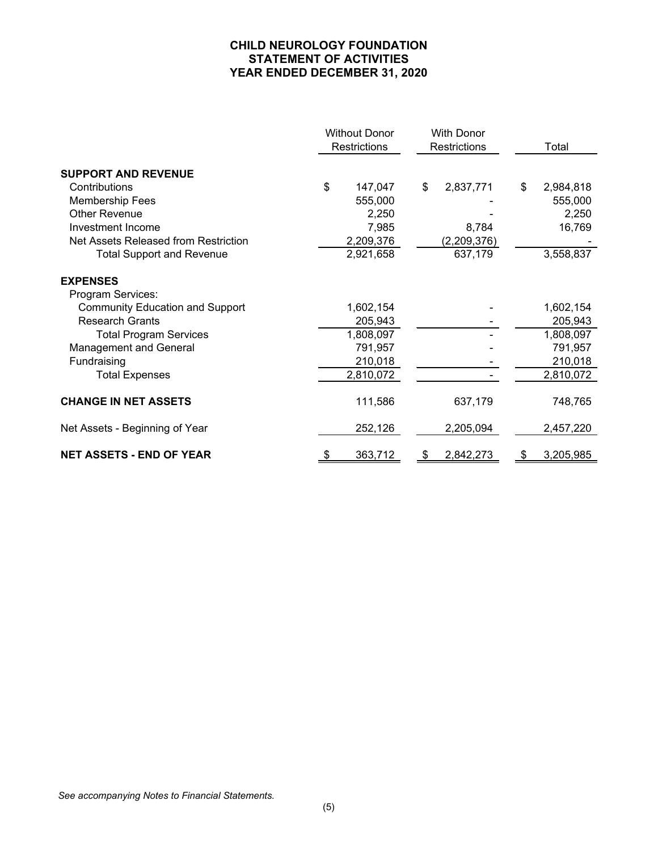### **CHILD NEUROLOGY FOUNDATION STATEMENT OF ACTIVITIES YEAR ENDED DECEMBER 31, 2020**

|                                        | <b>Without Donor</b><br><b>Restrictions</b> |    | <b>With Donor</b><br>Restrictions |    | Total     |
|----------------------------------------|---------------------------------------------|----|-----------------------------------|----|-----------|
| <b>SUPPORT AND REVENUE</b>             |                                             |    |                                   |    |           |
| Contributions                          | \$<br>147,047                               | \$ | 2,837,771                         | \$ | 2,984,818 |
| Membership Fees                        | 555,000                                     |    |                                   |    | 555,000   |
| <b>Other Revenue</b>                   | 2,250                                       |    |                                   |    | 2,250     |
| Investment Income                      | 7,985                                       |    | 8,784                             |    | 16,769    |
| Net Assets Released from Restriction   | 2,209,376                                   |    | (2,209,376)                       |    |           |
| <b>Total Support and Revenue</b>       | 2,921,658                                   |    | 637,179                           |    | 3,558,837 |
| <b>EXPENSES</b>                        |                                             |    |                                   |    |           |
| Program Services:                      |                                             |    |                                   |    |           |
| <b>Community Education and Support</b> | 1,602,154                                   |    |                                   |    | 1,602,154 |
| <b>Research Grants</b>                 | 205,943                                     |    |                                   |    | 205,943   |
| <b>Total Program Services</b>          | 1,808,097                                   |    |                                   |    | 1,808,097 |
| <b>Management and General</b>          | 791,957                                     |    |                                   |    | 791,957   |
| Fundraising                            | 210,018                                     |    |                                   |    | 210,018   |
| <b>Total Expenses</b>                  | 2,810,072                                   |    |                                   |    | 2,810,072 |
| <b>CHANGE IN NET ASSETS</b>            | 111,586                                     |    | 637,179                           |    | 748,765   |
| Net Assets - Beginning of Year         | 252,126                                     |    | 2,205,094                         |    | 2,457,220 |
| <b>NET ASSETS - END OF YEAR</b>        | \$<br>363,712                               | \$ | 2,842,273                         | \$ | 3,205,985 |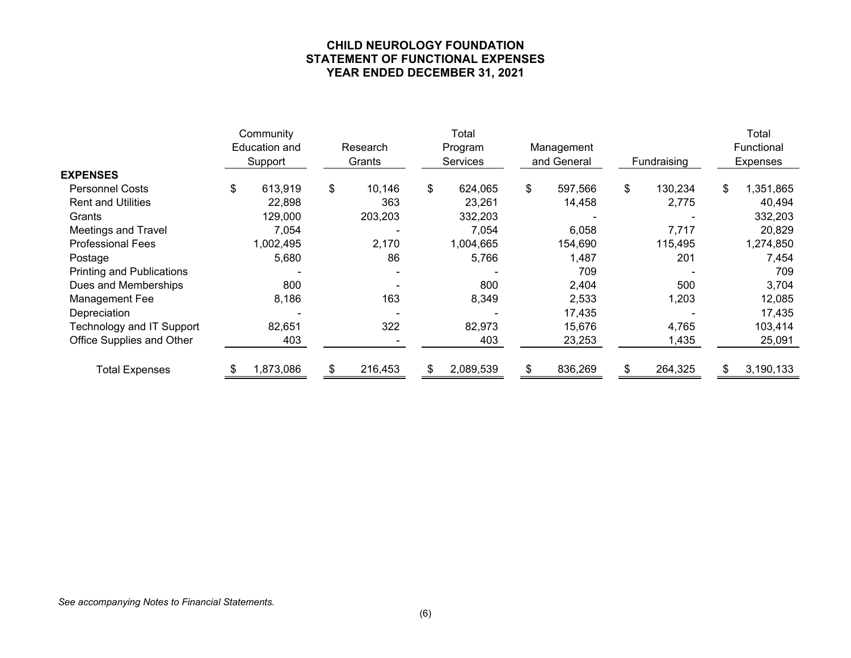#### **CHILD NEUROLOGY FOUNDATION STATEMENT OF FUNCTIONAL EXPENSES YEAR ENDED DECEMBER 31, 2021**

|                                  | Community                |                    | Total               |                           |               | Total            |  |
|----------------------------------|--------------------------|--------------------|---------------------|---------------------------|---------------|------------------|--|
|                                  | Education and<br>Support | Research<br>Grants | Program<br>Services | Management<br>and General | Fundraising   | Functional       |  |
| <b>EXPENSES</b>                  |                          |                    |                     |                           |               | <b>Expenses</b>  |  |
| <b>Personnel Costs</b>           | \$<br>613,919            | \$<br>10,146       | \$<br>624,065       | \$<br>597,566             | \$<br>130,234 | \$<br>1,351,865  |  |
| <b>Rent and Utilities</b>        | 22,898                   | 363                | 23,261              | 14,458                    | 2,775         | 40,494           |  |
| Grants                           | 129,000                  | 203,203            | 332,203             |                           |               | 332,203          |  |
| <b>Meetings and Travel</b>       | 7,054                    |                    | 7,054               | 6,058                     | 7,717         | 20,829           |  |
| <b>Professional Fees</b>         | 1,002,495                | 2,170              | 1,004,665           | 154,690                   | 115,495       | 1,274,850        |  |
| Postage                          | 5,680                    | 86                 | 5,766               | 1,487                     | 201           | 7,454            |  |
| <b>Printing and Publications</b> |                          |                    |                     | 709                       |               | 709              |  |
| Dues and Memberships             | 800                      |                    | 800                 | 2,404                     | 500           | 3,704            |  |
| Management Fee                   | 8,186                    | 163                | 8,349               | 2,533                     | 1,203         | 12,085           |  |
| Depreciation                     |                          |                    |                     | 17,435                    |               | 17,435           |  |
| Technology and IT Support        | 82,651                   | 322                | 82,973              | 15,676                    | 4,765         | 103,414          |  |
| Office Supplies and Other        | 403                      |                    | 403                 | 23,253                    | 1,435         | 25,091           |  |
| <b>Total Expenses</b>            | 1,873,086                | 216,453            | 2,089,539<br>\$     | 836,269                   | 264,325       | 3,190,133<br>\$. |  |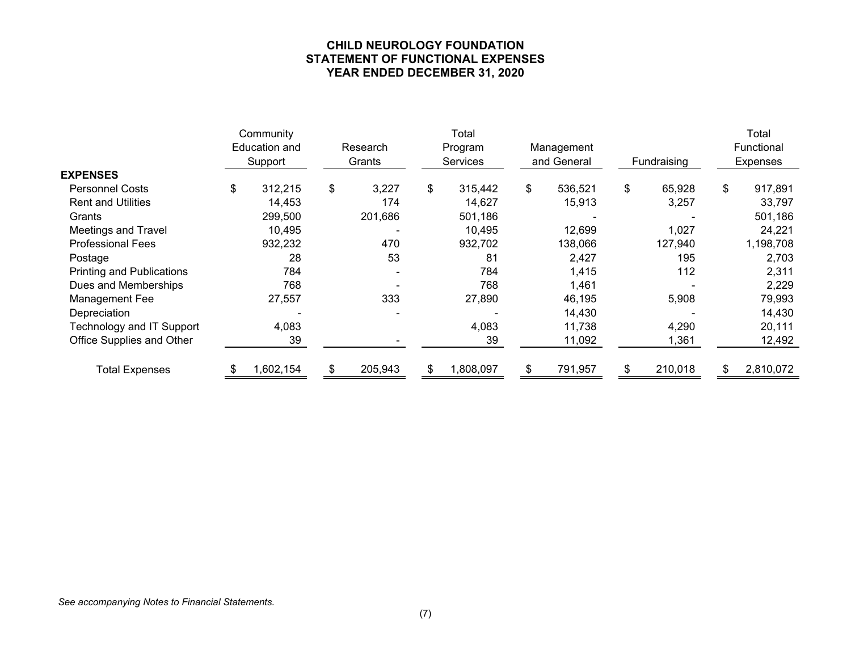#### **CHILD NEUROLOGY FOUNDATION STATEMENT OF FUNCTIONAL EXPENSES YEAR ENDED DECEMBER 31, 2020**

|                                  | Community<br>Education and |    | Research |          | Total<br>Program |             | Management |             |         |                 | Total<br>Functional |
|----------------------------------|----------------------------|----|----------|----------|------------------|-------------|------------|-------------|---------|-----------------|---------------------|
|                                  | Support<br>Grants          |    |          | Services |                  | and General |            | Fundraising |         | <b>Expenses</b> |                     |
| <b>EXPENSES</b>                  |                            |    |          |          |                  |             |            |             |         |                 |                     |
| <b>Personnel Costs</b>           | \$<br>312,215              | \$ | 3,227    | \$       | 315,442          | \$          | 536,521    | \$          | 65,928  | \$              | 917,891             |
| <b>Rent and Utilities</b>        | 14,453                     |    | 174      |          | 14,627           |             | 15,913     |             | 3,257   |                 | 33,797              |
| Grants                           | 299,500                    |    | 201,686  |          | 501,186          |             |            |             |         |                 | 501,186             |
| <b>Meetings and Travel</b>       | 10,495                     |    |          |          | 10,495           |             | 12,699     |             | 1,027   |                 | 24,221              |
| <b>Professional Fees</b>         | 932,232                    |    | 470      |          | 932,702          |             | 138,066    |             | 127,940 |                 | 1,198,708           |
| Postage                          | 28                         |    | 53       |          | 81               |             | 2,427      |             | 195     |                 | 2,703               |
| <b>Printing and Publications</b> | 784                        |    |          |          | 784              |             | 1,415      |             | 112     |                 | 2,311               |
| Dues and Memberships             | 768                        |    |          |          | 768              |             | 1,461      |             |         |                 | 2,229               |
| Management Fee                   | 27,557                     |    | 333      |          | 27,890           |             | 46,195     |             | 5,908   |                 | 79,993              |
| Depreciation                     |                            |    |          |          |                  |             | 14,430     |             |         |                 | 14,430              |
| Technology and IT Support        | 4,083                      |    |          |          | 4,083            |             | 11,738     |             | 4,290   |                 | 20,111              |
| Office Supplies and Other        | 39                         |    |          |          | 39               |             | 11,092     |             | 1,361   |                 | 12,492              |
| <b>Total Expenses</b>            | 1,602,154                  |    | 205,943  | \$       | 1,808,097        |             | 791,957    |             | 210,018 | \$              | 2,810,072           |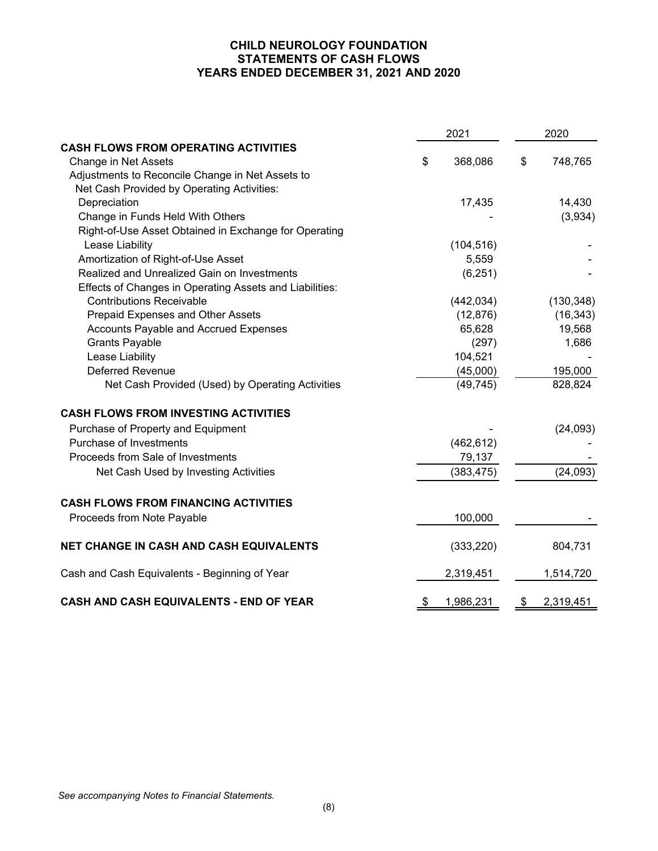### **CHILD NEUROLOGY FOUNDATION STATEMENTS OF CASH FLOWS YEARS ENDED DECEMBER 31, 2021 AND 2020**

|                                                         | 2021            | 2020            |
|---------------------------------------------------------|-----------------|-----------------|
| <b>CASH FLOWS FROM OPERATING ACTIVITIES</b>             |                 |                 |
| Change in Net Assets                                    | \$<br>368,086   | \$<br>748,765   |
| Adjustments to Reconcile Change in Net Assets to        |                 |                 |
| Net Cash Provided by Operating Activities:              |                 |                 |
| Depreciation                                            | 17,435          | 14,430          |
| Change in Funds Held With Others                        |                 | (3,934)         |
| Right-of-Use Asset Obtained in Exchange for Operating   |                 |                 |
| Lease Liability                                         | (104, 516)      |                 |
| Amortization of Right-of-Use Asset                      | 5,559           |                 |
| Realized and Unrealized Gain on Investments             | (6, 251)        |                 |
| Effects of Changes in Operating Assets and Liabilities: |                 |                 |
| <b>Contributions Receivable</b>                         | (442, 034)      | (130, 348)      |
| <b>Prepaid Expenses and Other Assets</b>                | (12, 876)       | (16, 343)       |
| Accounts Payable and Accrued Expenses                   | 65,628          | 19,568          |
| <b>Grants Payable</b>                                   | (297)           | 1,686           |
| Lease Liability                                         | 104,521         |                 |
| <b>Deferred Revenue</b>                                 | (45,000)        | 195,000         |
| Net Cash Provided (Used) by Operating Activities        | (49, 745)       | 828,824         |
| <b>CASH FLOWS FROM INVESTING ACTIVITIES</b>             |                 |                 |
| Purchase of Property and Equipment                      |                 | (24,093)        |
| Purchase of Investments                                 | (462, 612)      |                 |
| Proceeds from Sale of Investments                       | 79,137          |                 |
| Net Cash Used by Investing Activities                   | (383, 475)      | (24,093)        |
| <b>CASH FLOWS FROM FINANCING ACTIVITIES</b>             |                 |                 |
| Proceeds from Note Payable                              | 100,000         |                 |
| <b>NET CHANGE IN CASH AND CASH EQUIVALENTS</b>          | (333, 220)      | 804,731         |
| Cash and Cash Equivalents - Beginning of Year           | 2,319,451       | 1,514,720       |
| CASH AND CASH EQUIVALENTS - END OF YEAR                 | \$<br>1,986,231 | \$<br>2,319,451 |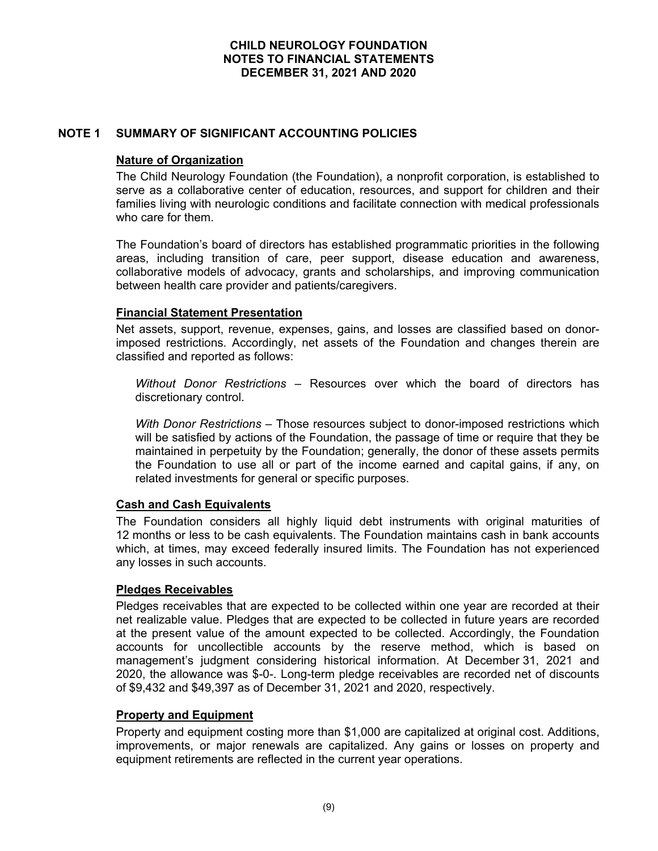### **NOTE 1 SUMMARY OF SIGNIFICANT ACCOUNTING POLICIES**

#### **Nature of Organization**

The Child Neurology Foundation (the Foundation), a nonprofit corporation, is established to serve as a collaborative center of education, resources, and support for children and their families living with neurologic conditions and facilitate connection with medical professionals who care for them.

The Foundation's board of directors has established programmatic priorities in the following areas, including transition of care, peer support, disease education and awareness, collaborative models of advocacy, grants and scholarships, and improving communication between health care provider and patients/caregivers.

### **Financial Statement Presentation**

Net assets, support, revenue, expenses, gains, and losses are classified based on donorimposed restrictions. Accordingly, net assets of the Foundation and changes therein are classified and reported as follows:

*Without Donor Restrictions* – Resources over which the board of directors has discretionary control.

*With Donor Restrictions* – Those resources subject to donor-imposed restrictions which will be satisfied by actions of the Foundation, the passage of time or require that they be maintained in perpetuity by the Foundation; generally, the donor of these assets permits the Foundation to use all or part of the income earned and capital gains, if any, on related investments for general or specific purposes.

#### **Cash and Cash Equivalents**

The Foundation considers all highly liquid debt instruments with original maturities of 12 months or less to be cash equivalents. The Foundation maintains cash in bank accounts which, at times, may exceed federally insured limits. The Foundation has not experienced any losses in such accounts.

#### **Pledges Receivables**

Pledges receivables that are expected to be collected within one year are recorded at their net realizable value. Pledges that are expected to be collected in future years are recorded at the present value of the amount expected to be collected. Accordingly, the Foundation accounts for uncollectible accounts by the reserve method, which is based on management's judgment considering historical information. At December 31, 2021 and 2020, the allowance was \$-0-. Long-term pledge receivables are recorded net of discounts of \$9,432 and \$49,397 as of December 31, 2021 and 2020, respectively.

#### **Property and Equipment**

Property and equipment costing more than \$1,000 are capitalized at original cost. Additions, improvements, or major renewals are capitalized. Any gains or losses on property and equipment retirements are reflected in the current year operations.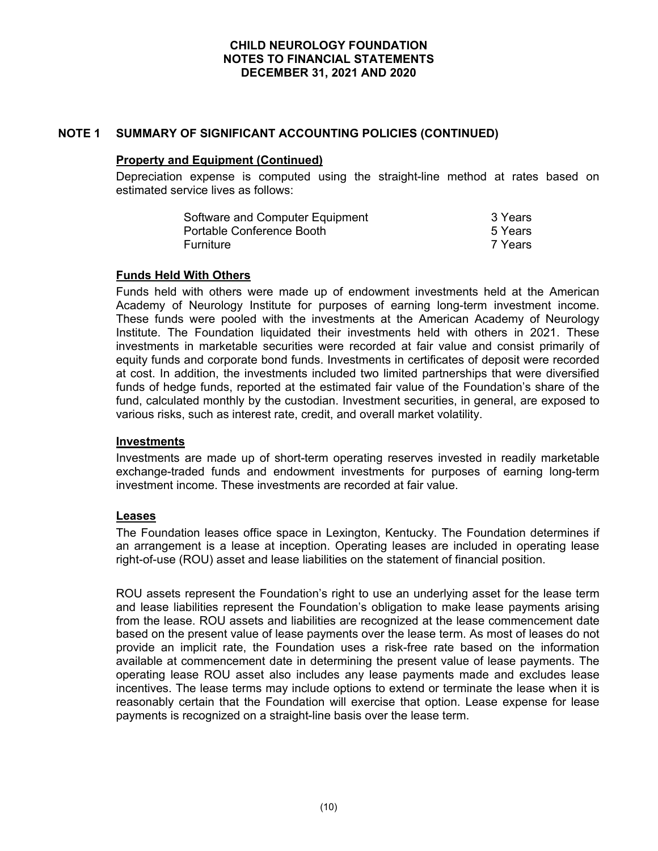### **NOTE 1 SUMMARY OF SIGNIFICANT ACCOUNTING POLICIES (CONTINUED)**

#### **Property and Equipment (Continued)**

Depreciation expense is computed using the straight-line method at rates based on estimated service lives as follows:

| Software and Computer Equipment | 3 Years |
|---------------------------------|---------|
| Portable Conference Booth       | 5 Years |
| Furniture                       | 7 Years |

### **Funds Held With Others**

Funds held with others were made up of endowment investments held at the American Academy of Neurology Institute for purposes of earning long-term investment income. These funds were pooled with the investments at the American Academy of Neurology Institute. The Foundation liquidated their investments held with others in 2021. These investments in marketable securities were recorded at fair value and consist primarily of equity funds and corporate bond funds. Investments in certificates of deposit were recorded at cost. In addition, the investments included two limited partnerships that were diversified funds of hedge funds, reported at the estimated fair value of the Foundation's share of the fund, calculated monthly by the custodian. Investment securities, in general, are exposed to various risks, such as interest rate, credit, and overall market volatility.

#### **Investments**

Investments are made up of short-term operating reserves invested in readily marketable exchange-traded funds and endowment investments for purposes of earning long-term investment income. These investments are recorded at fair value.

### **Leases**

The Foundation leases office space in Lexington, Kentucky. The Foundation determines if an arrangement is a lease at inception. Operating leases are included in operating lease right-of-use (ROU) asset and lease liabilities on the statement of financial position.

ROU assets represent the Foundation's right to use an underlying asset for the lease term and lease liabilities represent the Foundation's obligation to make lease payments arising from the lease. ROU assets and liabilities are recognized at the lease commencement date based on the present value of lease payments over the lease term. As most of leases do not provide an implicit rate, the Foundation uses a risk-free rate based on the information available at commencement date in determining the present value of lease payments. The operating lease ROU asset also includes any lease payments made and excludes lease incentives. The lease terms may include options to extend or terminate the lease when it is reasonably certain that the Foundation will exercise that option. Lease expense for lease payments is recognized on a straight-line basis over the lease term.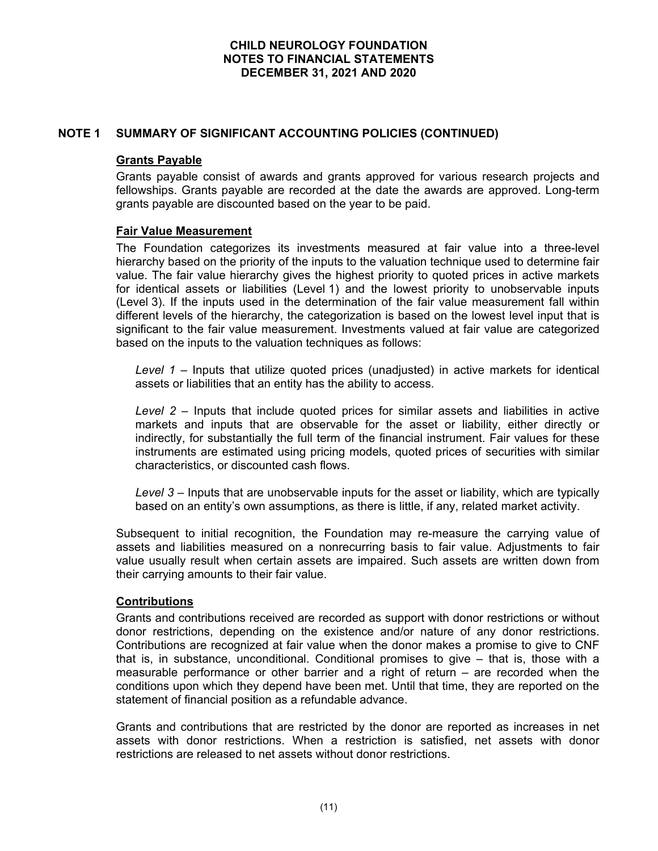### **NOTE 1 SUMMARY OF SIGNIFICANT ACCOUNTING POLICIES (CONTINUED)**

#### **Grants Payable**

Grants payable consist of awards and grants approved for various research projects and fellowships. Grants payable are recorded at the date the awards are approved. Long-term grants payable are discounted based on the year to be paid.

#### **Fair Value Measurement**

The Foundation categorizes its investments measured at fair value into a three-level hierarchy based on the priority of the inputs to the valuation technique used to determine fair value. The fair value hierarchy gives the highest priority to quoted prices in active markets for identical assets or liabilities (Level 1) and the lowest priority to unobservable inputs (Level 3). If the inputs used in the determination of the fair value measurement fall within different levels of the hierarchy, the categorization is based on the lowest level input that is significant to the fair value measurement. Investments valued at fair value are categorized based on the inputs to the valuation techniques as follows:

*Level 1* – Inputs that utilize quoted prices (unadjusted) in active markets for identical assets or liabilities that an entity has the ability to access.

*Level 2* – Inputs that include quoted prices for similar assets and liabilities in active markets and inputs that are observable for the asset or liability, either directly or indirectly, for substantially the full term of the financial instrument. Fair values for these instruments are estimated using pricing models, quoted prices of securities with similar characteristics, or discounted cash flows.

*Level 3* – Inputs that are unobservable inputs for the asset or liability, which are typically based on an entity's own assumptions, as there is little, if any, related market activity.

Subsequent to initial recognition, the Foundation may re-measure the carrying value of assets and liabilities measured on a nonrecurring basis to fair value. Adjustments to fair value usually result when certain assets are impaired. Such assets are written down from their carrying amounts to their fair value.

#### **Contributions**

Grants and contributions received are recorded as support with donor restrictions or without donor restrictions, depending on the existence and/or nature of any donor restrictions. Contributions are recognized at fair value when the donor makes a promise to give to CNF that is, in substance, unconditional. Conditional promises to give – that is, those with a measurable performance or other barrier and a right of return – are recorded when the conditions upon which they depend have been met. Until that time, they are reported on the statement of financial position as a refundable advance.

Grants and contributions that are restricted by the donor are reported as increases in net assets with donor restrictions. When a restriction is satisfied, net assets with donor restrictions are released to net assets without donor restrictions.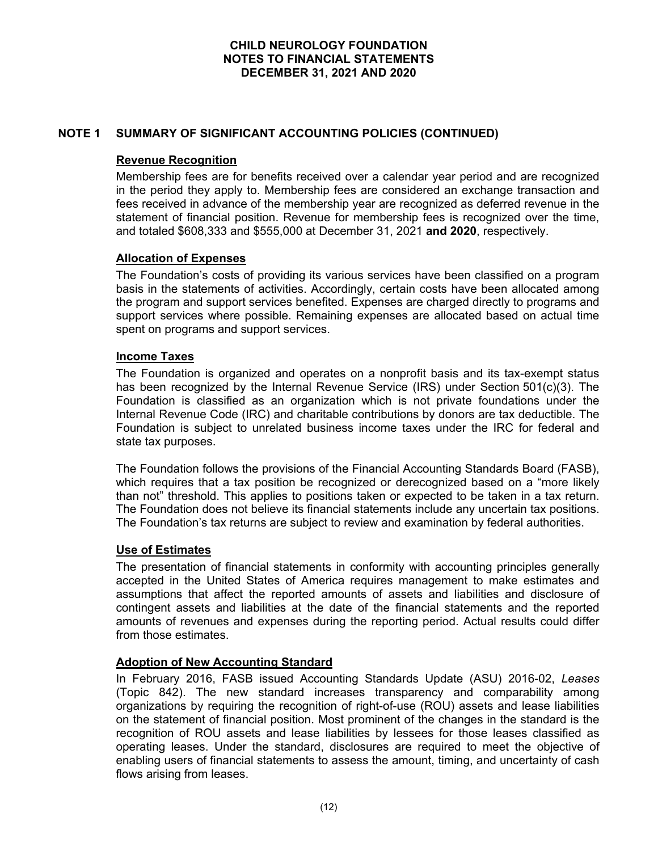### **NOTE 1 SUMMARY OF SIGNIFICANT ACCOUNTING POLICIES (CONTINUED)**

#### **Revenue Recognition**

Membership fees are for benefits received over a calendar year period and are recognized in the period they apply to. Membership fees are considered an exchange transaction and fees received in advance of the membership year are recognized as deferred revenue in the statement of financial position. Revenue for membership fees is recognized over the time, and totaled \$608,333 and \$555,000 at December 31, 2021 **and 2020**, respectively.

#### **Allocation of Expenses**

The Foundation's costs of providing its various services have been classified on a program basis in the statements of activities. Accordingly, certain costs have been allocated among the program and support services benefited. Expenses are charged directly to programs and support services where possible. Remaining expenses are allocated based on actual time spent on programs and support services.

### **Income Taxes**

The Foundation is organized and operates on a nonprofit basis and its tax-exempt status has been recognized by the Internal Revenue Service (IRS) under Section 501(c)(3). The Foundation is classified as an organization which is not private foundations under the Internal Revenue Code (IRC) and charitable contributions by donors are tax deductible. The Foundation is subject to unrelated business income taxes under the IRC for federal and state tax purposes.

The Foundation follows the provisions of the Financial Accounting Standards Board (FASB), which requires that a tax position be recognized or derecognized based on a "more likely than not" threshold. This applies to positions taken or expected to be taken in a tax return. The Foundation does not believe its financial statements include any uncertain tax positions. The Foundation's tax returns are subject to review and examination by federal authorities.

#### **Use of Estimates**

The presentation of financial statements in conformity with accounting principles generally accepted in the United States of America requires management to make estimates and assumptions that affect the reported amounts of assets and liabilities and disclosure of contingent assets and liabilities at the date of the financial statements and the reported amounts of revenues and expenses during the reporting period. Actual results could differ from those estimates.

#### **Adoption of New Accounting Standard**

In February 2016, FASB issued Accounting Standards Update (ASU) 2016-02, *Leases*  (Topic 842). The new standard increases transparency and comparability among organizations by requiring the recognition of right-of-use (ROU) assets and lease liabilities on the statement of financial position. Most prominent of the changes in the standard is the recognition of ROU assets and lease liabilities by lessees for those leases classified as operating leases. Under the standard, disclosures are required to meet the objective of enabling users of financial statements to assess the amount, timing, and uncertainty of cash flows arising from leases.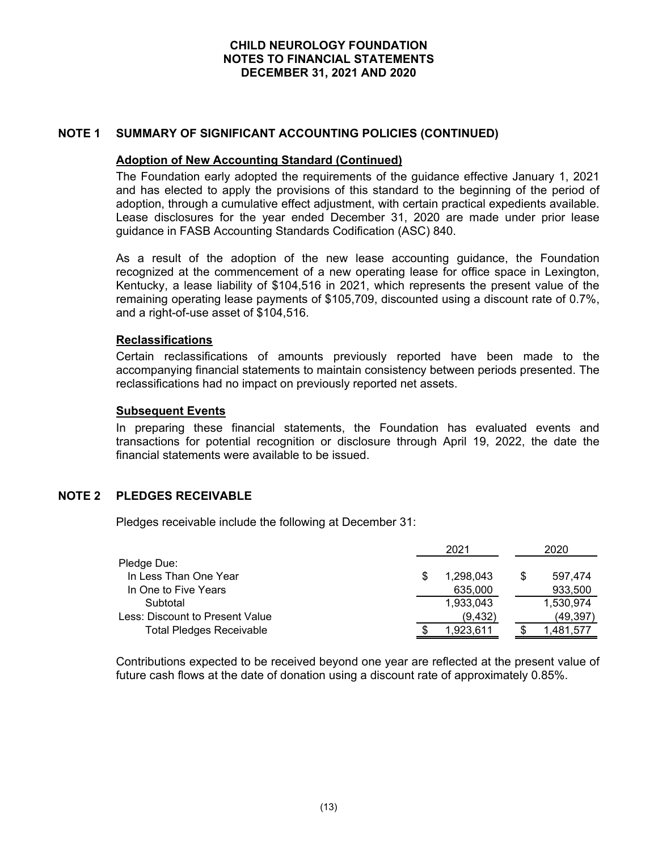### **NOTE 1 SUMMARY OF SIGNIFICANT ACCOUNTING POLICIES (CONTINUED)**

#### **Adoption of New Accounting Standard (Continued)**

The Foundation early adopted the requirements of the guidance effective January 1, 2021 and has elected to apply the provisions of this standard to the beginning of the period of adoption, through a cumulative effect adjustment, with certain practical expedients available. Lease disclosures for the year ended December 31, 2020 are made under prior lease guidance in FASB Accounting Standards Codification (ASC) 840.

As a result of the adoption of the new lease accounting guidance, the Foundation recognized at the commencement of a new operating lease for office space in Lexington, Kentucky, a lease liability of \$104,516 in 2021, which represents the present value of the remaining operating lease payments of \$105,709, discounted using a discount rate of 0.7%, and a right-of-use asset of \$104,516.

#### **Reclassifications**

Certain reclassifications of amounts previously reported have been made to the accompanying financial statements to maintain consistency between periods presented. The reclassifications had no impact on previously reported net assets.

#### **Subsequent Events**

In preparing these financial statements, the Foundation has evaluated events and transactions for potential recognition or disclosure through April 19, 2022, the date the financial statements were available to be issued.

#### **NOTE 2 PLEDGES RECEIVABLE**

Pledges receivable include the following at December 31:

|                                 | 2021      | 2020      |
|---------------------------------|-----------|-----------|
| Pledge Due:                     |           |           |
| In Less Than One Year           | 1,298,043 | 597.474   |
| In One to Five Years            | 635,000   | 933,500   |
| Subtotal                        | 1,933,043 | 1,530,974 |
| Less: Discount to Present Value | (9, 432)  | (49,397)  |
| <b>Total Pledges Receivable</b> | 1.923.611 | 1.481.577 |

Contributions expected to be received beyond one year are reflected at the present value of future cash flows at the date of donation using a discount rate of approximately 0.85%.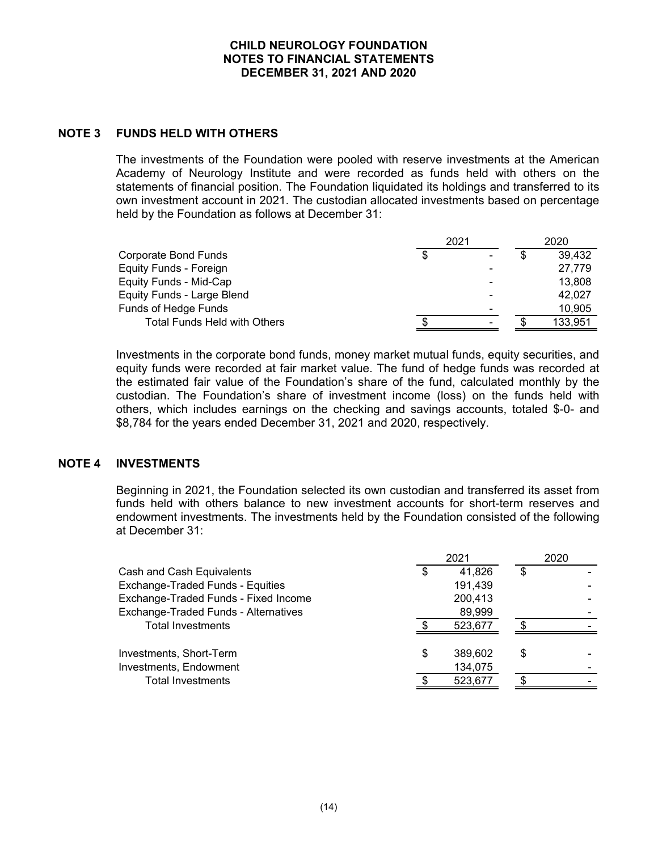### **NOTE 3 FUNDS HELD WITH OTHERS**

The investments of the Foundation were pooled with reserve investments at the American Academy of Neurology Institute and were recorded as funds held with others on the statements of financial position. The Foundation liquidated its holdings and transferred to its own investment account in 2021. The custodian allocated investments based on percentage held by the Foundation as follows at December 31:

|                                     | 2021 | 2020 |         |
|-------------------------------------|------|------|---------|
| Corporate Bond Funds                |      |      | 39,432  |
| Equity Funds - Foreign              |      |      | 27,779  |
| Equity Funds - Mid-Cap              |      |      | 13,808  |
| Equity Funds - Large Blend          |      |      | 42.027  |
| Funds of Hedge Funds                |      |      | 10,905  |
| <b>Total Funds Held with Others</b> |      |      | 133,951 |

Investments in the corporate bond funds, money market mutual funds, equity securities, and equity funds were recorded at fair market value. The fund of hedge funds was recorded at the estimated fair value of the Foundation's share of the fund, calculated monthly by the custodian. The Foundation's share of investment income (loss) on the funds held with others, which includes earnings on the checking and savings accounts, totaled \$-0- and \$8,784 for the years ended December 31, 2021 and 2020, respectively.

#### **NOTE 4 INVESTMENTS**

Beginning in 2021, the Foundation selected its own custodian and transferred its asset from funds held with others balance to new investment accounts for short-term reserves and endowment investments. The investments held by the Foundation consisted of the following at December 31:

|                                      | 2021 |         |   | 2020 |
|--------------------------------------|------|---------|---|------|
| Cash and Cash Equivalents            | \$   | 41,826  | S |      |
| Exchange-Traded Funds - Equities     |      | 191,439 |   |      |
| Exchange-Traded Funds - Fixed Income |      | 200,413 |   |      |
| Exchange-Traded Funds - Alternatives |      | 89,999  |   |      |
| <b>Total Investments</b>             |      | 523,677 |   |      |
| Investments, Short-Term              | \$   | 389,602 | S |      |
| Investments, Endowment               |      | 134,075 |   |      |
| <b>Total Investments</b>             |      | 523,677 |   |      |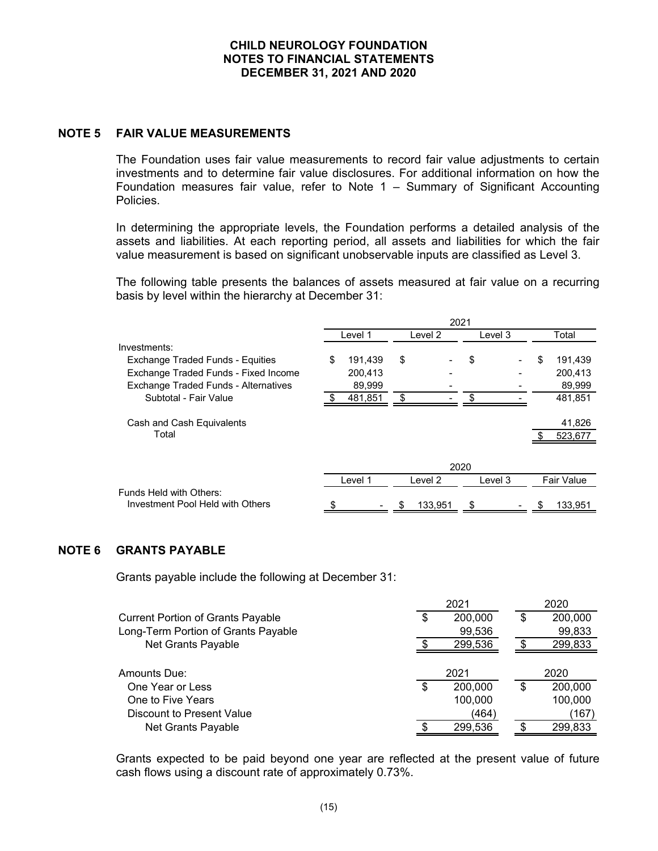#### **NOTE 5 FAIR VALUE MEASUREMENTS**

The Foundation uses fair value measurements to record fair value adjustments to certain investments and to determine fair value disclosures. For additional information on how the Foundation measures fair value, refer to Note 1 – Summary of Significant Accounting Policies.

In determining the appropriate levels, the Foundation performs a detailed analysis of the assets and liabilities. At each reporting period, all assets and liabilities for which the fair value measurement is based on significant unobservable inputs are classified as Level 3.

The following table presents the balances of assets measured at fair value on a recurring basis by level within the hierarchy at December 31:

 $2021$ 

|                                         | 202 I   |         |         |         |         |         |    |                   |  |
|-----------------------------------------|---------|---------|---------|---------|---------|---------|----|-------------------|--|
|                                         | Level 1 |         | Level 2 |         | Level 3 |         |    | Total             |  |
| Investments:                            |         |         |         |         |         |         |    |                   |  |
| <b>Exchange Traded Funds - Equities</b> | \$      | 191,439 | \$      |         | \$      |         | \$ | 191,439           |  |
| Exchange Traded Funds - Fixed Income    |         | 200,413 |         |         |         |         |    | 200,413           |  |
| Exchange Traded Funds - Alternatives    |         | 89,999  |         |         |         |         |    | 89,999            |  |
| Subtotal - Fair Value                   |         | 481,851 |         |         |         |         |    | 481,851           |  |
| Cash and Cash Equivalents               |         |         |         |         |         |         |    | 41,826            |  |
| Total                                   |         |         |         |         |         |         |    | 523,677           |  |
|                                         |         |         |         |         |         |         |    |                   |  |
|                                         |         |         |         | 2020    |         |         |    |                   |  |
|                                         |         | Level 1 |         | Level 2 |         | Level 3 |    | <b>Fair Value</b> |  |
| Funds Held with Others:                 |         |         |         |         |         |         |    |                   |  |
| Investment Pool Held with Others        | \$      |         | S       | 133.951 | \$      |         | S  | 133.951           |  |

# **NOTE 6 GRANTS PAYABLE**

Grants payable include the following at December 31:

| 2021 |         | 2020 |         |  |
|------|---------|------|---------|--|
| \$   | 200,000 | \$   | 200,000 |  |
|      | 99,536  |      | 99,833  |  |
|      | 299,536 |      | 299,833 |  |
|      | 2021    |      | 2020    |  |
| \$   | 200,000 | \$   | 200,000 |  |
|      | 100,000 |      | 100,000 |  |
|      | (464)   |      | (167)   |  |
|      | 299,536 |      | 299,833 |  |
|      |         |      |         |  |

Grants expected to be paid beyond one year are reflected at the present value of future cash flows using a discount rate of approximately 0.73%.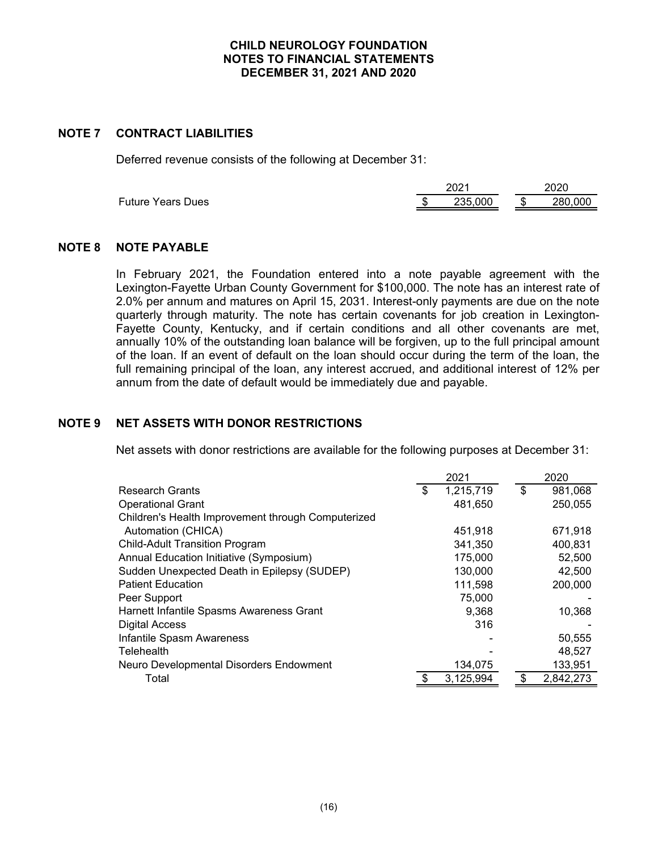#### **NOTE 7 CONTRACT LIABILITIES**

Deferred revenue consists of the following at December 31:

|                          |         | nnn 1       |   | 2020    |
|--------------------------|---------|-------------|---|---------|
| <b>Future Years Dues</b> | 灬<br>۰D | .000<br>つつよ | æ | 280.000 |
|                          |         |             |   |         |

#### **NOTE 8 NOTE PAYABLE**

In February 2021, the Foundation entered into a note payable agreement with the Lexington-Fayette Urban County Government for \$100,000. The note has an interest rate of 2.0% per annum and matures on April 15, 2031. Interest-only payments are due on the note quarterly through maturity. The note has certain covenants for job creation in Lexington-Fayette County, Kentucky, and if certain conditions and all other covenants are met, annually 10% of the outstanding loan balance will be forgiven, up to the full principal amount of the loan. If an event of default on the loan should occur during the term of the loan, the full remaining principal of the loan, any interest accrued, and additional interest of 12% per annum from the date of default would be immediately due and payable.

#### **NOTE 9 NET ASSETS WITH DONOR RESTRICTIONS**

Net assets with donor restrictions are available for the following purposes at December 31:

|                                                    | 2021 |           |    | 2020      |
|----------------------------------------------------|------|-----------|----|-----------|
| <b>Research Grants</b>                             | \$   | 1,215,719 | \$ | 981,068   |
| <b>Operational Grant</b>                           |      | 481,650   |    | 250,055   |
| Children's Health Improvement through Computerized |      |           |    |           |
| Automation (CHICA)                                 |      | 451,918   |    | 671,918   |
| <b>Child-Adult Transition Program</b>              |      | 341,350   |    | 400,831   |
| Annual Education Initiative (Symposium)            |      | 175,000   |    | 52,500    |
| Sudden Unexpected Death in Epilepsy (SUDEP)        |      | 130,000   |    | 42,500    |
| <b>Patient Education</b>                           |      | 111,598   |    | 200,000   |
| Peer Support                                       |      | 75,000    |    |           |
| Harnett Infantile Spasms Awareness Grant           |      | 9,368     |    | 10,368    |
| <b>Digital Access</b>                              |      | 316       |    |           |
| Infantile Spasm Awareness                          |      |           |    | 50,555    |
| Telehealth                                         |      |           |    | 48,527    |
| Neuro Developmental Disorders Endowment            |      | 134,075   |    | 133,951   |
| Total                                              |      | 3,125,994 |    | 2,842,273 |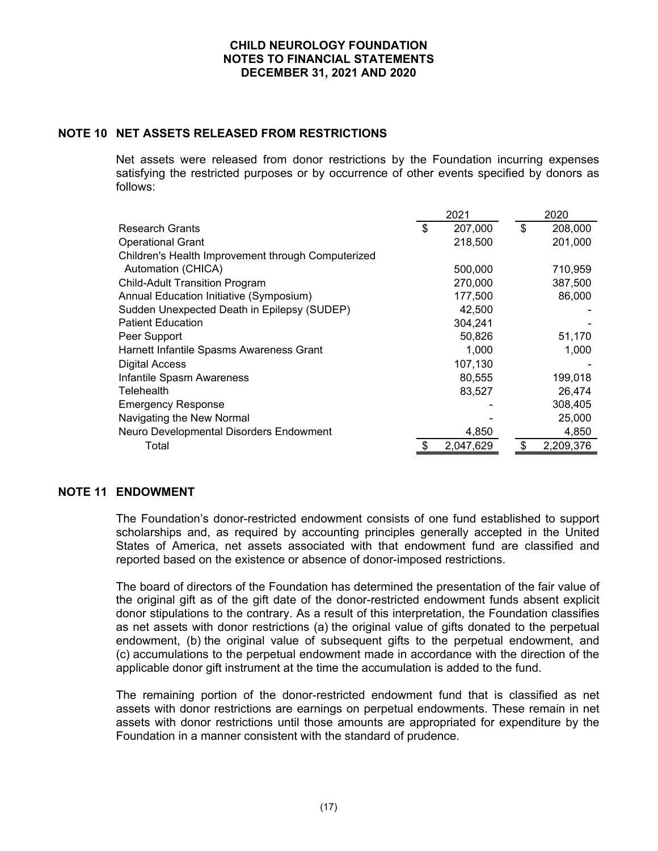#### **NOTE 10 NET ASSETS RELEASED FROM RESTRICTIONS**

Net assets were released from donor restrictions by the Foundation incurring expenses satisfying the restricted purposes or by occurrence of other events specified by donors as follows:

|                                                    | 2021 |           | 2020          |  |
|----------------------------------------------------|------|-----------|---------------|--|
| <b>Research Grants</b>                             | \$   | 207,000   | \$<br>208,000 |  |
| <b>Operational Grant</b>                           |      | 218,500   | 201,000       |  |
| Children's Health Improvement through Computerized |      |           |               |  |
| Automation (CHICA)                                 |      | 500,000   | 710,959       |  |
| <b>Child-Adult Transition Program</b>              |      | 270,000   | 387,500       |  |
| Annual Education Initiative (Symposium)            |      | 177,500   | 86,000        |  |
| Sudden Unexpected Death in Epilepsy (SUDEP)        |      | 42,500    |               |  |
| <b>Patient Education</b>                           |      | 304,241   |               |  |
| Peer Support                                       |      | 50,826    | 51,170        |  |
| Harnett Infantile Spasms Awareness Grant           |      | 1,000     | 1,000         |  |
| <b>Digital Access</b>                              |      | 107,130   |               |  |
| Infantile Spasm Awareness                          |      | 80,555    | 199,018       |  |
| Telehealth                                         |      | 83,527    | 26,474        |  |
| <b>Emergency Response</b>                          |      |           | 308,405       |  |
| Navigating the New Normal                          |      |           | 25,000        |  |
| Neuro Developmental Disorders Endowment            |      | 4,850     | 4,850         |  |
| Total                                              |      | 2,047,629 | 2,209,376     |  |

# **NOTE 11 ENDOWMENT**

The Foundation's donor-restricted endowment consists of one fund established to support scholarships and, as required by accounting principles generally accepted in the United States of America, net assets associated with that endowment fund are classified and reported based on the existence or absence of donor-imposed restrictions.

The board of directors of the Foundation has determined the presentation of the fair value of the original gift as of the gift date of the donor-restricted endowment funds absent explicit donor stipulations to the contrary. As a result of this interpretation, the Foundation classifies as net assets with donor restrictions (a) the original value of gifts donated to the perpetual endowment, (b) the original value of subsequent gifts to the perpetual endowment, and (c) accumulations to the perpetual endowment made in accordance with the direction of the applicable donor gift instrument at the time the accumulation is added to the fund.

The remaining portion of the donor-restricted endowment fund that is classified as net assets with donor restrictions are earnings on perpetual endowments. These remain in net assets with donor restrictions until those amounts are appropriated for expenditure by the Foundation in a manner consistent with the standard of prudence.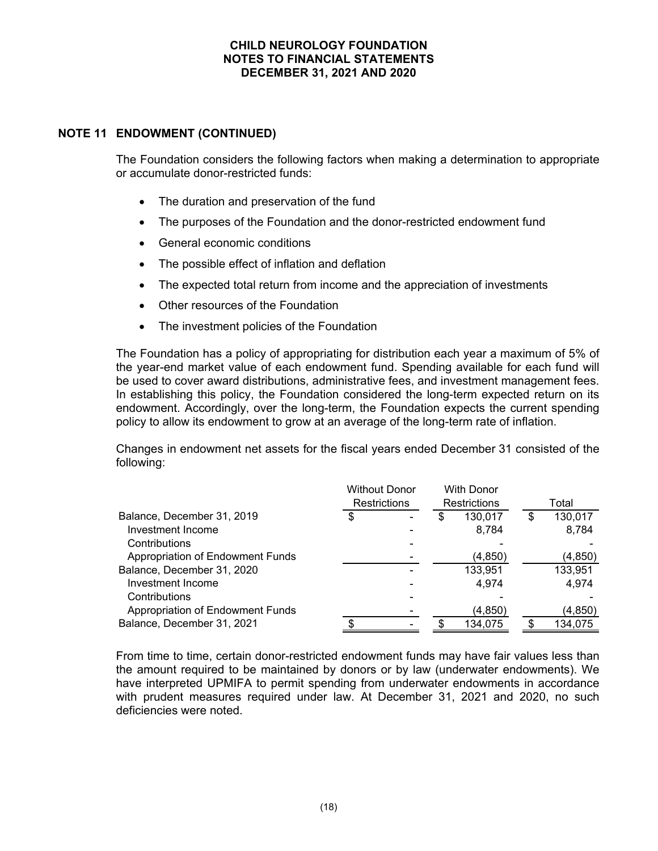### **NOTE 11 ENDOWMENT (CONTINUED)**

The Foundation considers the following factors when making a determination to appropriate or accumulate donor-restricted funds:

- The duration and preservation of the fund
- The purposes of the Foundation and the donor-restricted endowment fund
- General economic conditions
- The possible effect of inflation and deflation
- The expected total return from income and the appreciation of investments
- Other resources of the Foundation
- The investment policies of the Foundation

The Foundation has a policy of appropriating for distribution each year a maximum of 5% of the year-end market value of each endowment fund. Spending available for each fund will be used to cover award distributions, administrative fees, and investment management fees. In establishing this policy, the Foundation considered the long-term expected return on its endowment. Accordingly, over the long-term, the Foundation expects the current spending policy to allow its endowment to grow at an average of the long-term rate of inflation.

Changes in endowment net assets for the fiscal years ended December 31 consisted of the following:

|                                         | <b>Without Donor</b><br><b>Restrictions</b> | <b>With Donor</b><br><b>Restrictions</b> | Total         |
|-----------------------------------------|---------------------------------------------|------------------------------------------|---------------|
| Balance, December 31, 2019              |                                             | 130,017                                  | \$<br>130,017 |
| Investment Income                       |                                             | 8.784                                    | 8,784         |
| Contributions                           |                                             |                                          |               |
| Appropriation of Endowment Funds        |                                             | (4,850)                                  | (4, 850)      |
| Balance, December 31, 2020              |                                             | 133,951                                  | 133,951       |
| Investment Income                       |                                             | 4,974                                    | 4.974         |
| Contributions                           |                                             |                                          |               |
| <b>Appropriation of Endowment Funds</b> |                                             | (4,850)                                  | (4, 850)      |
| Balance, December 31, 2021              |                                             | 134,075                                  | 134,075       |

From time to time, certain donor-restricted endowment funds may have fair values less than the amount required to be maintained by donors or by law (underwater endowments). We have interpreted UPMIFA to permit spending from underwater endowments in accordance with prudent measures required under law. At December 31, 2021 and 2020, no such deficiencies were noted.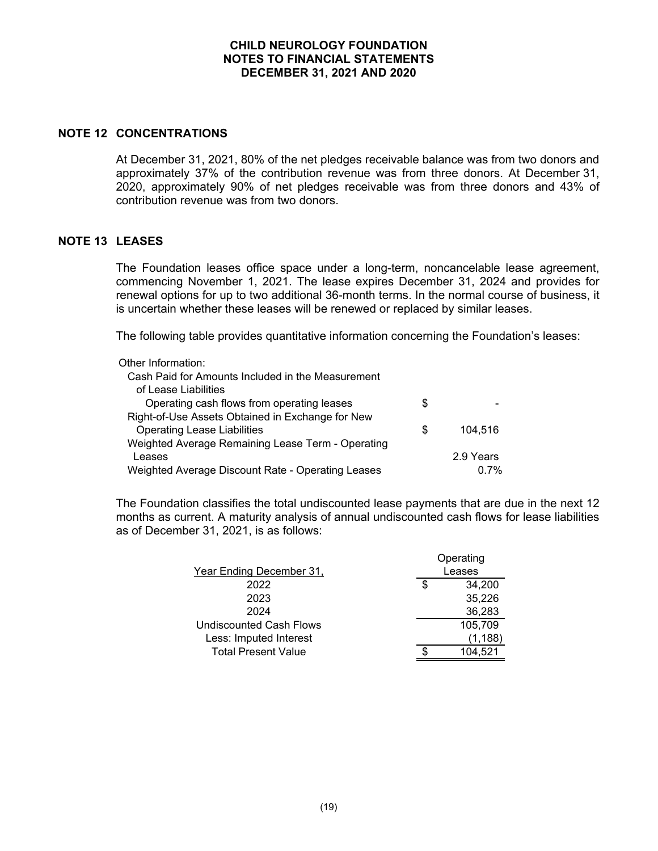#### **NOTE 12 CONCENTRATIONS**

At December 31, 2021, 80% of the net pledges receivable balance was from two donors and approximately 37% of the contribution revenue was from three donors. At December 31, 2020, approximately 90% of net pledges receivable was from three donors and 43% of contribution revenue was from two donors.

#### **NOTE 13 LEASES**

The Foundation leases office space under a long-term, noncancelable lease agreement, commencing November 1, 2021. The lease expires December 31, 2024 and provides for renewal options for up to two additional 36-month terms. In the normal course of business, it is uncertain whether these leases will be renewed or replaced by similar leases.

The following table provides quantitative information concerning the Foundation's leases:

| Other Information:                                |    |           |
|---------------------------------------------------|----|-----------|
| Cash Paid for Amounts Included in the Measurement |    |           |
| of Lease Liabilities                              |    |           |
| Operating cash flows from operating leases        | \$ |           |
| Right-of-Use Assets Obtained in Exchange for New  |    |           |
| <b>Operating Lease Liabilities</b>                | S  | 104.516   |
| Weighted Average Remaining Lease Term - Operating |    |           |
| Leases                                            |    | 2.9 Years |
| Weighted Average Discount Rate - Operating Leases |    | $0.7\%$   |

The Foundation classifies the total undiscounted lease payments that are due in the next 12 months as current. A maturity analysis of annual undiscounted cash flows for lease liabilities as of December 31, 2021, is as follows:

 $\sim$ 

|                                | Operating |          |  |  |
|--------------------------------|-----------|----------|--|--|
| Year Ending December 31,       | Leases    |          |  |  |
| 2022                           | 34,200    |          |  |  |
| 2023                           |           | 35,226   |  |  |
| 2024                           |           | 36,283   |  |  |
| <b>Undiscounted Cash Flows</b> |           | 105,709  |  |  |
| Less: Imputed Interest         |           | (1, 188) |  |  |
| <b>Total Present Value</b>     |           | 104,521  |  |  |
|                                |           |          |  |  |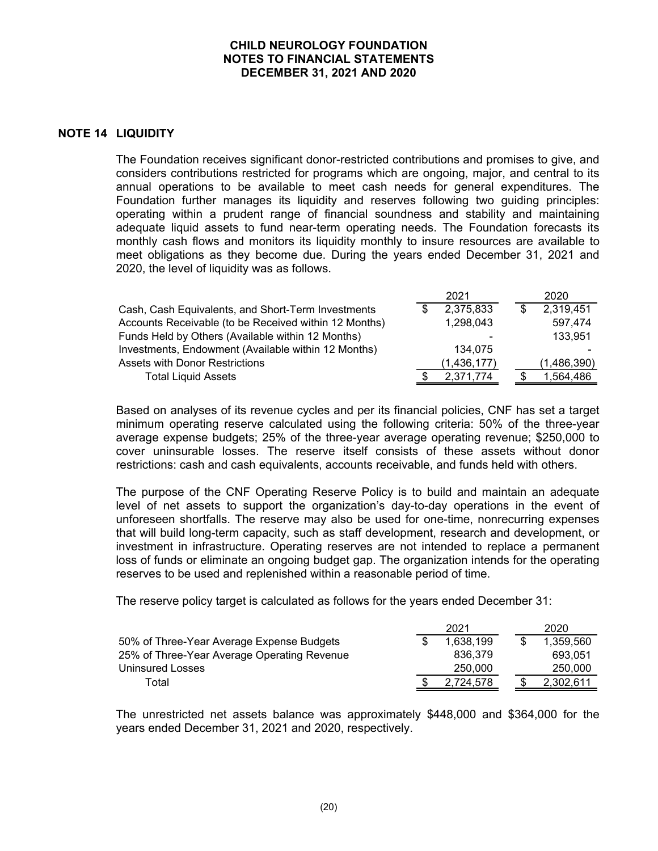#### **NOTE 14 LIQUIDITY**

The Foundation receives significant donor-restricted contributions and promises to give, and considers contributions restricted for programs which are ongoing, major, and central to its annual operations to be available to meet cash needs for general expenditures. The Foundation further manages its liquidity and reserves following two guiding principles: operating within a prudent range of financial soundness and stability and maintaining adequate liquid assets to fund near-term operating needs. The Foundation forecasts its monthly cash flows and monitors its liquidity monthly to insure resources are available to meet obligations as they become due. During the years ended December 31, 2021 and 2020, the level of liquidity was as follows.

|                                                       | 2021        |  | 2020        |
|-------------------------------------------------------|-------------|--|-------------|
| Cash, Cash Equivalents, and Short-Term Investments    | 2,375,833   |  | 2,319,451   |
| Accounts Receivable (to be Received within 12 Months) | 1,298,043   |  | 597.474     |
| Funds Held by Others (Available within 12 Months)     |             |  | 133,951     |
| Investments, Endowment (Available within 12 Months)   | 134.075     |  |             |
| <b>Assets with Donor Restrictions</b>                 | (1,436,177) |  | (1,486,390) |
| <b>Total Liquid Assets</b>                            | 2.371.774   |  | 1,564,486   |

Based on analyses of its revenue cycles and per its financial policies, CNF has set a target minimum operating reserve calculated using the following criteria: 50% of the three-year average expense budgets; 25% of the three-year average operating revenue; \$250,000 to cover uninsurable losses. The reserve itself consists of these assets without donor restrictions: cash and cash equivalents, accounts receivable, and funds held with others.

The purpose of the CNF Operating Reserve Policy is to build and maintain an adequate level of net assets to support the organization's day-to-day operations in the event of unforeseen shortfalls. The reserve may also be used for one-time, nonrecurring expenses that will build long-term capacity, such as staff development, research and development, or investment in infrastructure. Operating reserves are not intended to replace a permanent loss of funds or eliminate an ongoing budget gap. The organization intends for the operating reserves to be used and replenished within a reasonable period of time.

The reserve policy target is calculated as follows for the years ended December 31:

|                                             | 2021      |  | 2020      |
|---------------------------------------------|-----------|--|-----------|
| 50% of Three-Year Average Expense Budgets   | 1.638.199 |  | 1.359.560 |
| 25% of Three-Year Average Operating Revenue | 836.379   |  | 693.051   |
| Uninsured Losses                            | 250,000   |  | 250,000   |
| Total                                       | 2.724.578 |  | 2.302.611 |

The unrestricted net assets balance was approximately \$448,000 and \$364,000 for the years ended December 31, 2021 and 2020, respectively.